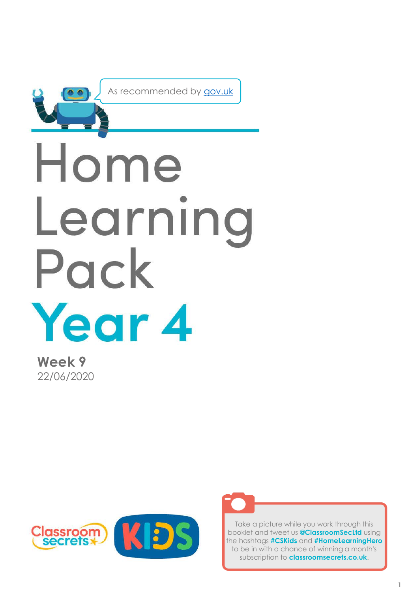

As recommended by [gov.uk](https://www.gov.uk/government/publications/coronavirus-covid-19-online-education-resources/coronavirus-covid-19-list-of-online-education-resources-for-home-education?)

# Home Learning Pack Year 4

**Week 9** 22/06/2020





Take a picture while you work through this booklet and tweet us **@ClassroomSecLtd** using the hashtags **#CSKids** and **#HomeLearningHero** to be in with a chance of winning a month's subscription to **classroomsecrets.co.uk**.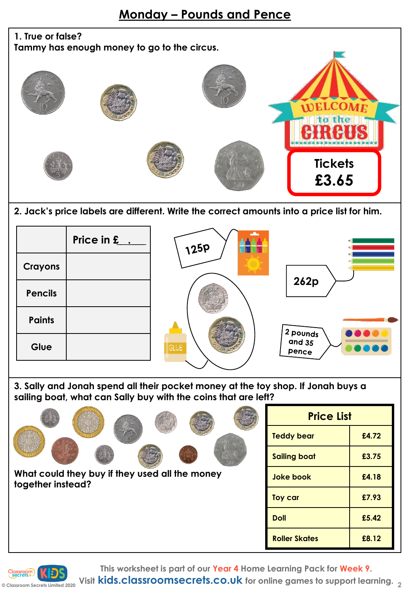## **1. True or false? Tammy has enough money to go to the circus. WELCOME** to the RH **Tickets £3.65**

**2. Jack's price labels are different. Write the correct amounts into a price list for him.** 



**3. Sally and Jonah spend all their pocket money at the toy shop. If Jonah buys a sailing boat, what can Sally buy with the coins that are left?** 

|                                                                     | <b>Price List</b>    |       |
|---------------------------------------------------------------------|----------------------|-------|
|                                                                     | <b>Teddy bear</b>    | £4.72 |
|                                                                     | <b>Sailing boat</b>  | £3.75 |
| What could they buy if they used all the money<br>together instead? | <b>Joke book</b>     | £4.18 |
|                                                                     | Toy car              | £7.93 |
|                                                                     | <b>Doll</b>          | £5.42 |
|                                                                     | <b>Roller Skates</b> | £8.12 |
|                                                                     |                      |       |



**© Classroom Secrets Limited 2020 Visit kids.classroomsecrets.co.uk for online games to support learning. <sup>2</sup>**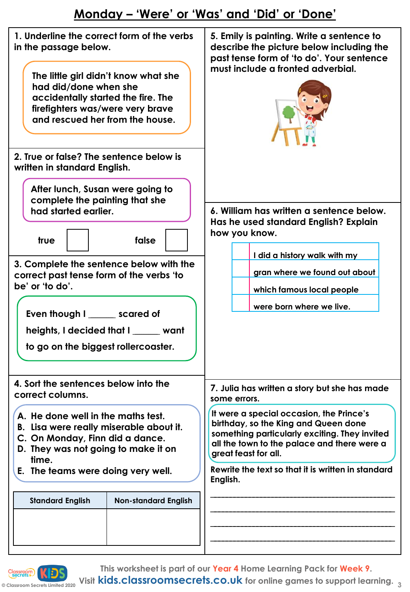#### **Monday – 'Were' or 'Was' and 'Did' or 'Done'**

| 1. Underline the correct form of the verbs<br>in the passage below.<br>The little girl didn't know what she<br>had did/done when she<br>accidentally started the fire. The<br>firefighters was/were very brave<br>and rescued her from the house. | 5. Emily is painting. Write a sentence to<br>describe the picture below including the<br>past tense form of 'to do'. Your sentence<br>must include a fronted adverbial.                                  |  |
|---------------------------------------------------------------------------------------------------------------------------------------------------------------------------------------------------------------------------------------------------|----------------------------------------------------------------------------------------------------------------------------------------------------------------------------------------------------------|--|
| 2. True or false? The sentence below is<br>written in standard English.                                                                                                                                                                           |                                                                                                                                                                                                          |  |
| After lunch, Susan were going to<br>complete the painting that she                                                                                                                                                                                |                                                                                                                                                                                                          |  |
| had started earlier.<br>false<br>true                                                                                                                                                                                                             | 6. William has written a sentence below.<br>Has he used standard English? Explain<br>how you know.                                                                                                       |  |
|                                                                                                                                                                                                                                                   | I did a history walk with my                                                                                                                                                                             |  |
| 3. Complete the sentence below with the<br>correct past tense form of the verbs 'to                                                                                                                                                               | gran where we found out about                                                                                                                                                                            |  |
| be' or 'to do'.                                                                                                                                                                                                                                   | which famous local people                                                                                                                                                                                |  |
| Even though I ______ scared of                                                                                                                                                                                                                    | were born where we live.                                                                                                                                                                                 |  |
| heights, I decided that I want                                                                                                                                                                                                                    |                                                                                                                                                                                                          |  |
| to go on the biggest rollercoaster.                                                                                                                                                                                                               |                                                                                                                                                                                                          |  |
| 4. Sort the sentences below into the<br>correct columns.                                                                                                                                                                                          | 7. Julia has written a story but she has made<br>some errors.                                                                                                                                            |  |
| A. He done well in the maths test.<br>B. Lisa were really miserable about it.<br>C. On Monday, Finn did a dance.<br>D. They was not going to make it on<br>time.                                                                                  | It were a special occasion, the Prince's<br>birthday, so the King and Queen done<br>something particularly exciting. They invited<br>all the town to the palace and there were a<br>great feast for all. |  |
| E. The teams were doing very well.                                                                                                                                                                                                                | Rewrite the text so that it is written in standard<br>English.                                                                                                                                           |  |
| <b>Standard English</b><br><b>Non-standard English</b>                                                                                                                                                                                            |                                                                                                                                                                                                          |  |
|                                                                                                                                                                                                                                                   |                                                                                                                                                                                                          |  |
|                                                                                                                                                                                                                                                   |                                                                                                                                                                                                          |  |
|                                                                                                                                                                                                                                                   |                                                                                                                                                                                                          |  |



**© Classroom Secrets Limited 2020 Visit kids.classroomsecrets.co.uk for online games to support learning. <sup>3</sup>**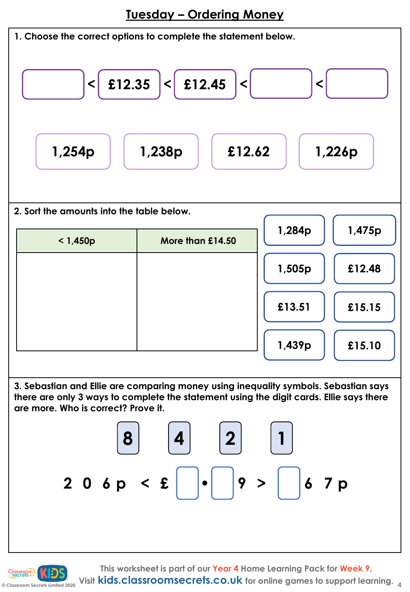**Tuesday – Ordering Money**

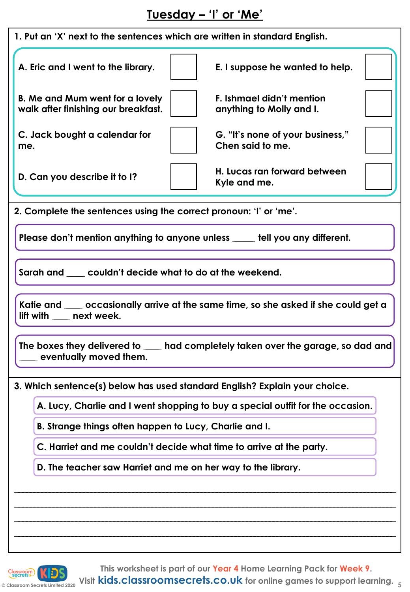### **Tuesday – 'I' or 'Me'**

| 1. Put an 'X' next to the sentences which are written in standard English.                                        |                                                                                |  |  |  |
|-------------------------------------------------------------------------------------------------------------------|--------------------------------------------------------------------------------|--|--|--|
| A. Eric and I went to the library.                                                                                | E. I suppose he wanted to help.                                                |  |  |  |
| B. Me and Mum went for a lovely<br>walk after finishing our breakfast.                                            | F. Ishmael didn't mention<br>anything to Molly and I.                          |  |  |  |
| C. Jack bought a calendar for<br>me.                                                                              | G. "It's none of your business,"<br>Chen said to me.                           |  |  |  |
| D. Can you describe it to I?                                                                                      | H. Lucas ran forward between<br>Kyle and me.                                   |  |  |  |
| 2. Complete the sentences using the correct pronoun: 'I' or 'me'.                                                 |                                                                                |  |  |  |
|                                                                                                                   | Please don't mention anything to anyone unless _____ tell you any different.   |  |  |  |
| Sarah and ____ couldn't decide what to do at the weekend.                                                         |                                                                                |  |  |  |
| Katie and ____ occasionally arrive at the same time, so she asked if she could get a<br>lift with ____ next week. |                                                                                |  |  |  |
| The boxes they delivered to ____ had completely taken over the garage, so dad and<br>eventually moved them.       |                                                                                |  |  |  |
| 3. Which sentence(s) below has used standard English? Explain your choice.                                        |                                                                                |  |  |  |
|                                                                                                                   | A. Lucy, Charlie and I went shopping to buy a special outfit for the occasion. |  |  |  |
| B. Strange things often happen to Lucy, Charlie and I.                                                            |                                                                                |  |  |  |
| C. Harriet and me couldn't decide what time to arrive at the party.                                               |                                                                                |  |  |  |
| D. The teacher saw Harriet and me on her way to the library.                                                      |                                                                                |  |  |  |
|                                                                                                                   |                                                                                |  |  |  |
|                                                                                                                   |                                                                                |  |  |  |
|                                                                                                                   |                                                                                |  |  |  |
|                                                                                                                   |                                                                                |  |  |  |

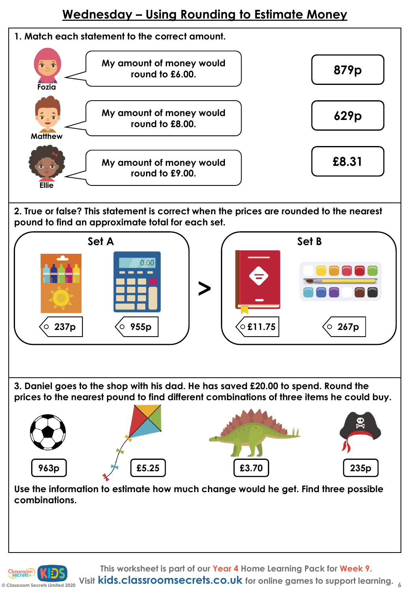#### **Wednesday – Using Rounding to Estimate Money**



**2. True or false? This statement is correct when the prices are rounded to the nearest pound to find an approximate total for each set.**



**3. Daniel goes to the shop with his dad. He has saved £20.00 to spend. Round the prices to the nearest pound to find different combinations of three items he could buy.** 



**Use the information to estimate how much change would he get. Find three possible combinations.**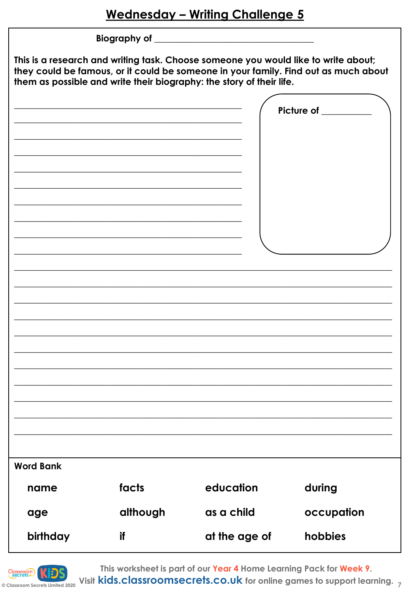|                  |          | This is a research and writing task. Choose someone you would like to write about;<br>them as possible and write their biography: the story of their life. | they could be famous, or it could be someone in your family. Find out as much about |
|------------------|----------|------------------------------------------------------------------------------------------------------------------------------------------------------------|-------------------------------------------------------------------------------------|
|                  |          |                                                                                                                                                            | Picture of ________                                                                 |
| <b>Word Bank</b> |          |                                                                                                                                                            |                                                                                     |
| name             | facts    | education                                                                                                                                                  | during                                                                              |
| age              | although | as a child                                                                                                                                                 | occupation                                                                          |
| birthday         | if       | at the age of                                                                                                                                              | hobbies                                                                             |



This worksheet is part of our Year 4 Home Learning Pack for Week 9.

Classroom **KEDS**<br>
Classroom Secrets Limited 2020 Visit **kids.classroomsecrets.co.uk** for online games to support learning.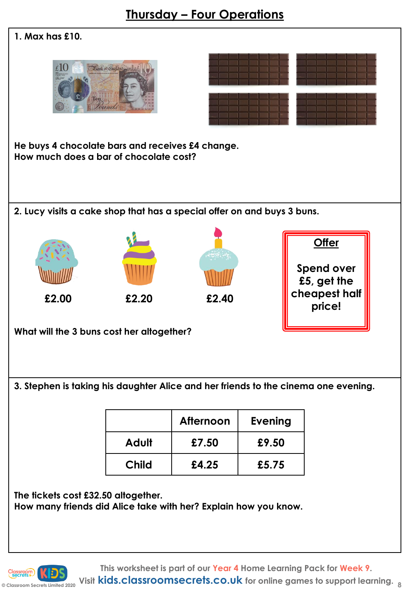#### **Thursday – Four Operations**

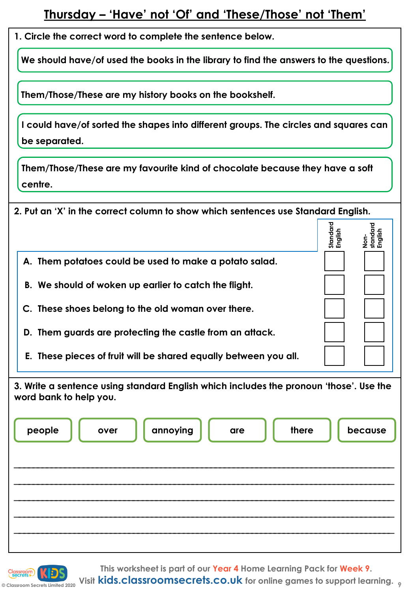#### **Thursday – 'Have' not 'Of' and 'These/Those' not 'Them'**

**1. Circle the correct word to complete the sentence below.** 

**We should have/of used the books in the library to find the answers to the questions.** 

**Them/Those/These are my history books on the bookshelf.**

| I could have/of sorted the shapes into different groups. The circles and squares can |  |
|--------------------------------------------------------------------------------------|--|
| be separated.                                                                        |  |

**Them/Those/These are my favourite kind of chocolate because they have a soft centre.** 

| 2. Put an 'X' in the correct column to show which sentences use Standard English. |  |  |  |
|-----------------------------------------------------------------------------------|--|--|--|
|                                                                                   |  |  |  |
| A. Them potatoes could be used to make a potato salad.                            |  |  |  |
| B. We should of woken up earlier to catch the flight.                             |  |  |  |
| C. These shoes belong to the old woman over there.                                |  |  |  |
| D. Them guards are protecting the castle from an attack.                          |  |  |  |
| E. These pieces of fruit will be shared equally between you all.                  |  |  |  |

**3. Write a sentence using standard English which includes the pronoun 'those'. Use the word bank to help you.** 

| people | over | annoying | are | there | because |
|--------|------|----------|-----|-------|---------|
|        |      |          |     |       |         |
|        |      |          |     |       |         |



**This worksheet is part of our Year 4 Home Learning Pack for Week 9.**

**C** Classroom Secrets Limited 2020 Visit **kids.classroomsecrets.co.uk** for online games to support learning.  $9$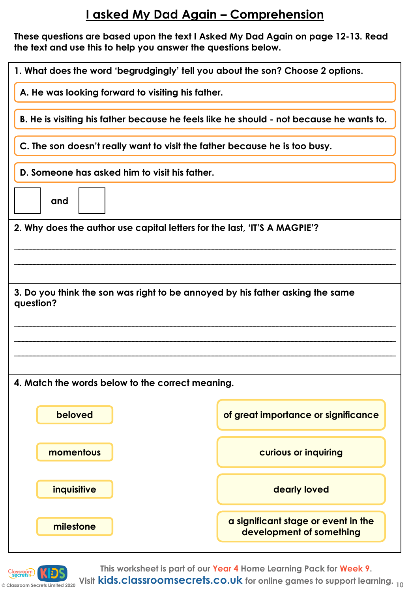### **I asked My Dad Again – Comprehension**

**These questions are based upon the text I Asked My Dad Again on page 12-13. Read the text and use this to help you answer the questions below.** 

| 1. What does the word 'begrudgingly' tell you about the son? Choose 2 options.             |                                                                 |  |  |
|--------------------------------------------------------------------------------------------|-----------------------------------------------------------------|--|--|
| A. He was looking forward to visiting his father.                                          |                                                                 |  |  |
| B. He is visiting his father because he feels like he should - not because he wants to.    |                                                                 |  |  |
| C. The son doesn't really want to visit the father because he is too busy.                 |                                                                 |  |  |
| D. Someone has asked him to visit his father.                                              |                                                                 |  |  |
| and                                                                                        |                                                                 |  |  |
| 2. Why does the author use capital letters for the last, 'IT'S A MAGPIE'?                  |                                                                 |  |  |
|                                                                                            |                                                                 |  |  |
|                                                                                            |                                                                 |  |  |
| 3. Do you think the son was right to be annoyed by his father asking the same<br>question? |                                                                 |  |  |
|                                                                                            |                                                                 |  |  |
|                                                                                            |                                                                 |  |  |
|                                                                                            |                                                                 |  |  |
| 4. Match the words below to the correct meaning.                                           |                                                                 |  |  |
| beloved                                                                                    | of great importance or significance                             |  |  |
| momentous                                                                                  | curious or inquiring                                            |  |  |
| inquisitive                                                                                | dearly loved                                                    |  |  |
| milestone                                                                                  | a significant stage or event in the<br>development of something |  |  |



**This worksheet is part of our Year 4 Home Learning Pack for Week 9.**

**Consumed Apple 2020** Visit **kids.classroomsecrets.co.uk** for online games to support learning. <sub>10</sub>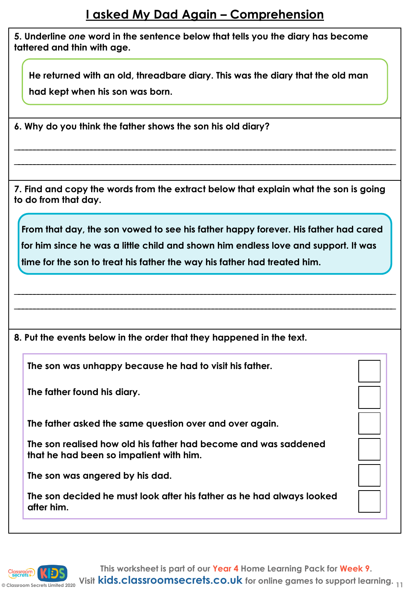#### **I asked My Dad Again – Comprehension**

**5. Underline** *one* **word in the sentence below that tells you the diary has become tattered and thin with age.**

**He returned with an old, threadbare diary. This was the diary that the old man had kept when his son was born.**

**6. Why do you think the father shows the son his old diary?**

**7. Find and copy the words from the extract below that explain what the son is going to do from that day.**

\_\_\_\_\_\_\_\_\_\_\_\_\_\_\_\_\_\_\_\_\_\_\_\_\_\_\_\_\_\_\_\_\_\_\_\_\_\_\_\_\_\_\_\_\_\_\_\_\_\_\_\_\_\_\_\_\_\_\_\_\_\_\_\_\_\_\_\_\_\_\_\_\_\_\_\_\_\_\_\_\_\_\_\_\_\_\_\_\_\_\_\_\_\_\_\_\_\_\_\_ \_\_\_\_\_\_\_\_\_\_\_\_\_\_\_\_\_\_\_\_\_\_\_\_\_\_\_\_\_\_\_\_\_\_\_\_\_\_\_\_\_\_\_\_\_\_\_\_\_\_\_\_\_\_\_\_\_\_\_\_\_\_\_\_\_\_\_\_\_\_\_\_\_\_\_\_\_\_\_\_\_\_\_\_\_\_\_\_\_\_\_\_\_\_\_\_\_\_\_\_

**From that day, the son vowed to see his father happy forever. His father had cared for him since he was a little child and shown him endless love and support. It was time for the son to treat his father the way his father had treated him.**

\_\_\_\_\_\_\_\_\_\_\_\_\_\_\_\_\_\_\_\_\_\_\_\_\_\_\_\_\_\_\_\_\_\_\_\_\_\_\_\_\_\_\_\_\_\_\_\_\_\_\_\_\_\_\_\_\_\_\_\_\_\_\_\_\_\_\_\_\_\_\_\_\_\_\_\_\_\_\_\_\_\_\_\_\_\_\_\_\_\_\_\_\_\_\_\_\_\_\_\_ \_\_\_\_\_\_\_\_\_\_\_\_\_\_\_\_\_\_\_\_\_\_\_\_\_\_\_\_\_\_\_\_\_\_\_\_\_\_\_\_\_\_\_\_\_\_\_\_\_\_\_\_\_\_\_\_\_\_\_\_\_\_\_\_\_\_\_\_\_\_\_\_\_\_\_\_\_\_\_\_\_\_\_\_\_\_\_\_\_\_\_\_\_\_\_\_\_\_\_\_

**8. Put the events below in the order that they happened in the text.**

**The son was unhappy because he had to visit his father.** 

**The father found his diary.** 

**The father asked the same question over and over again.**

**The son realised how old his father had become and was saddened that he had been so impatient with him.** 

**The son was angered by his dad.**

**The son decided he must look after his father as he had always looked after him.** 

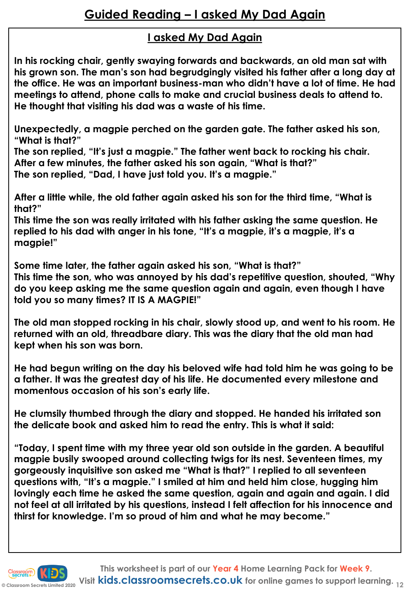#### **I asked My Dad Again**

**In his rocking chair, gently swaying forwards and backwards, an old man sat with his grown son. The man's son had begrudgingly visited his father after a long day at the office. He was an important business-man who didn't have a lot of time. He had meetings to attend, phone calls to make and crucial business deals to attend to. He thought that visiting his dad was a waste of his time.**

**Unexpectedly, a magpie perched on the garden gate. The father asked his son, "What is that?"** 

**The son replied, "It's just a magpie." The father went back to rocking his chair. After a few minutes, the father asked his son again, "What is that?" The son replied, "Dad, I have just told you. It's a magpie."**

**After a little while, the old father again asked his son for the third time, "What is that?"** 

**This time the son was really irritated with his father asking the same question. He replied to his dad with anger in his tone, "It's a magpie, it's a magpie, it's a magpie!"**

**Some time later, the father again asked his son, "What is that?" This time the son, who was annoyed by his dad's repetitive question, shouted, "Why do you keep asking me the same question again and again, even though I have told you so many times? IT IS A MAGPIE!"**

**The old man stopped rocking in his chair, slowly stood up, and went to his room. He returned with an old, threadbare diary. This was the diary that the old man had kept when his son was born.** 

**He had begun writing on the day his beloved wife had told him he was going to be a father. It was the greatest day of his life. He documented every milestone and momentous occasion of his son's early life.**

**He clumsily thumbed through the diary and stopped. He handed his irritated son the delicate book and asked him to read the entry. This is what it said:**

**"Today, I spent time with my three year old son outside in the garden. A beautiful magpie busily swooped around collecting twigs for its nest. Seventeen times, my gorgeously inquisitive son asked me "What is that?" I replied to all seventeen questions with, "It's a magpie." I smiled at him and held him close, hugging him lovingly each time he asked the same question, again and again and again. I did not feel at all irritated by his questions, instead I felt affection for his innocence and thirst for knowledge. I'm so proud of him and what he may become."**